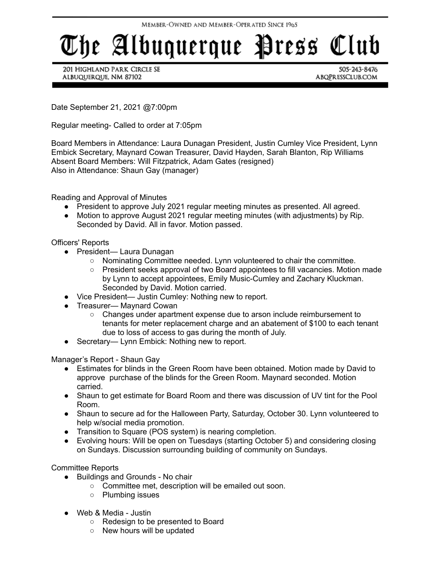## The Albuquerque Press Club

201 HIGHLAND PARK CIRCLE SE ALBUQUERQUE, NM 87102

505-243-8476 ABQPRESSCLUB.COM

Date September 21, 2021 @7:00pm

Regular meeting- Called to order at 7:05pm

Board Members in Attendance: Laura Dunagan President, Justin Cumley Vice President, Lynn Embick Secretary, Maynard Cowan Treasurer, David Hayden, Sarah Blanton, Rip Williams Absent Board Members: Will Fitzpatrick, Adam Gates (resigned) Also in Attendance: Shaun Gay (manager)

Reading and Approval of Minutes

- President to approve July 2021 regular meeting minutes as presented. All agreed.
- Motion to approve August 2021 regular meeting minutes (with adjustments) by Rip. Seconded by David. All in favor. Motion passed.

Officers' Reports

- President— Laura Dunagan
	- $\circ$  Nominating Committee needed. Lynn volunteered to chair the committee.
	- President seeks approval of two Board appointees to fill vacancies. Motion made by Lynn to accept appointees, Emily Music-Cumley and Zachary Kluckman. Seconded by David. Motion carried.
- Vice President— Justin Cumley: Nothing new to report.
- Treasurer— Maynard Cowan
	- Changes under apartment expense due to arson include reimbursement to tenants for meter replacement charge and an abatement of \$100 to each tenant due to loss of access to gas during the month of July.
- Secretary— Lynn Embick: Nothing new to report.

Manager's Report - Shaun Gay

- Estimates for blinds in the Green Room have been obtained. Motion made by David to approve purchase of the blinds for the Green Room. Maynard seconded. Motion carried.
- Shaun to get estimate for Board Room and there was discussion of UV tint for the Pool Room.
- Shaun to secure ad for the Halloween Party, Saturday, October 30. Lynn volunteered to help w/social media promotion.
- Transition to Square (POS system) is nearing completion.
- Evolving hours: Will be open on Tuesdays (starting October 5) and considering closing on Sundays. Discussion surrounding building of community on Sundays.

Committee Reports

- Buildings and Grounds No chair
	- Committee met, description will be emailed out soon.
	- Plumbing issues
- Web & Media Justin
	- Redesign to be presented to Board
	- New hours will be updated